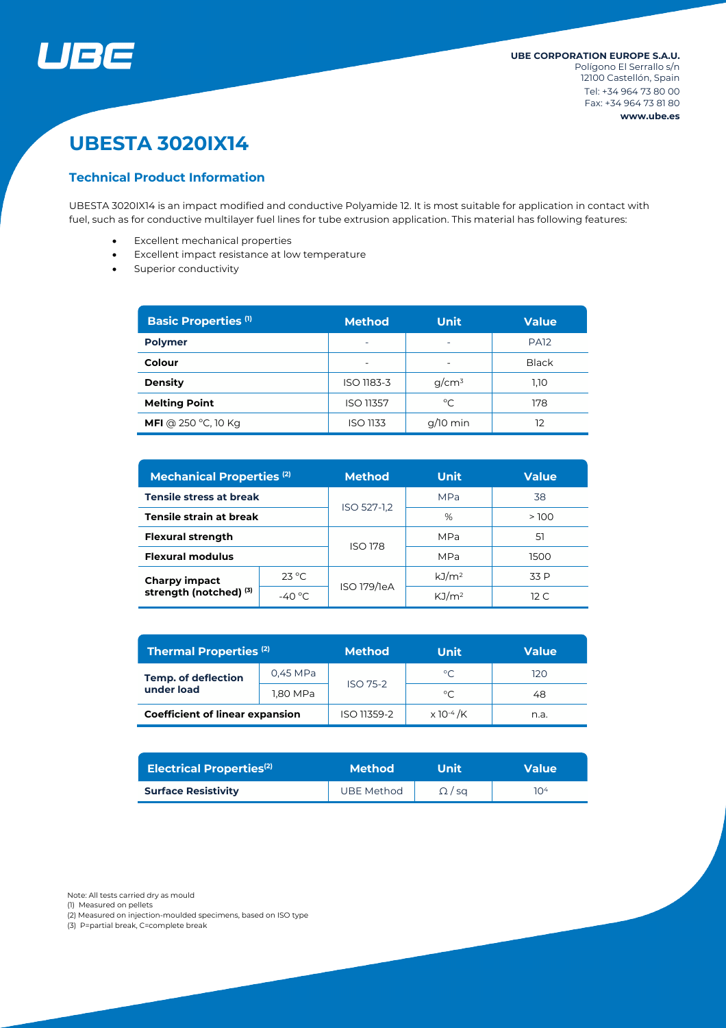

# **UBESTA 3020IX14**

#### **Technical Product Information**

UBESTA 3020IX14 is an impact modified and conductive Polyamide 12. It is most suitable for application in contact with fuel, such as for conductive multilayer fuel lines for tube extrusion application. This material has following features:

- Excellent mechanical properties
- Excellent impact resistance at low temperature
- Superior conductivity

| <b>Basic Properties (1)</b> | <b>Method</b>            | <b>Unit</b>  | <b>Value</b> |  |
|-----------------------------|--------------------------|--------------|--------------|--|
| <b>Polymer</b>              | $\overline{\phantom{0}}$ | ۰            | <b>PA12</b>  |  |
| Colour                      |                          |              | <b>Black</b> |  |
| <b>Density</b>              | ISO 1183-3               | $g/cm^3$     | 1,10         |  |
| <b>Melting Point</b>        | ISO 11357                | $^{\circ}$ C | 178          |  |
| <b>MFI</b> @ 250 °C, 10 Kg  | <b>ISO 1133</b>          | $q/10$ min   | 12           |  |

| <b>Mechanical Properties (2)</b>               |                 | <b>Method</b>  | <b>Unit</b>       | <b>Value</b>    |  |
|------------------------------------------------|-----------------|----------------|-------------------|-----------------|--|
| Tensile stress at break                        |                 | ISO 527-1,2    | <b>MPa</b>        | 38              |  |
| Tensile strain at break                        |                 |                | %                 | >100            |  |
| <b>Flexural strength</b>                       |                 | <b>ISO 178</b> | MPa               | 51              |  |
| <b>Flexural modulus</b>                        |                 |                | MPa               | 1500            |  |
| <b>Charpy impact</b><br>strength (notched) (3) | $23^{\circ}$ C  | ISO 179/1eA    | kJ/m <sup>2</sup> | 33 P            |  |
|                                                | $-40^{\circ}$ C |                | KJ/m <sup>2</sup> | 12 <sub>C</sub> |  |

| <b>Thermal Properties (2)</b>            |          | <b>Method</b>   | Unit                         | <b>Value</b> |  |
|------------------------------------------|----------|-----------------|------------------------------|--------------|--|
| <b>Temp. of deflection</b><br>under load | 0,45 MPa | <b>ISO 75-2</b> | $^{\circ}C$                  | 120          |  |
|                                          | 1,80 MPa |                 | °C                           | 48           |  |
| <b>Coefficient of linear expansion</b>   |          | ISO 11359-2     | $\times$ 10 <sup>-4</sup> /K | n.a.         |  |

| <b>Electrical Properties<sup>(2)</sup></b> | <b>Method</b>     | <b>Unit</b> ' | <b>Value</b> |  |
|--------------------------------------------|-------------------|---------------|--------------|--|
| <b>Surface Resistivity</b>                 | <b>UBE Method</b> | $\Omega$ / sa | 104          |  |

Note: All tests carried dry as mould

(1) Measured on pellets

(2) Measured on injection-moulded specimens, based on ISO type

(3) P=partial break, C=complete break